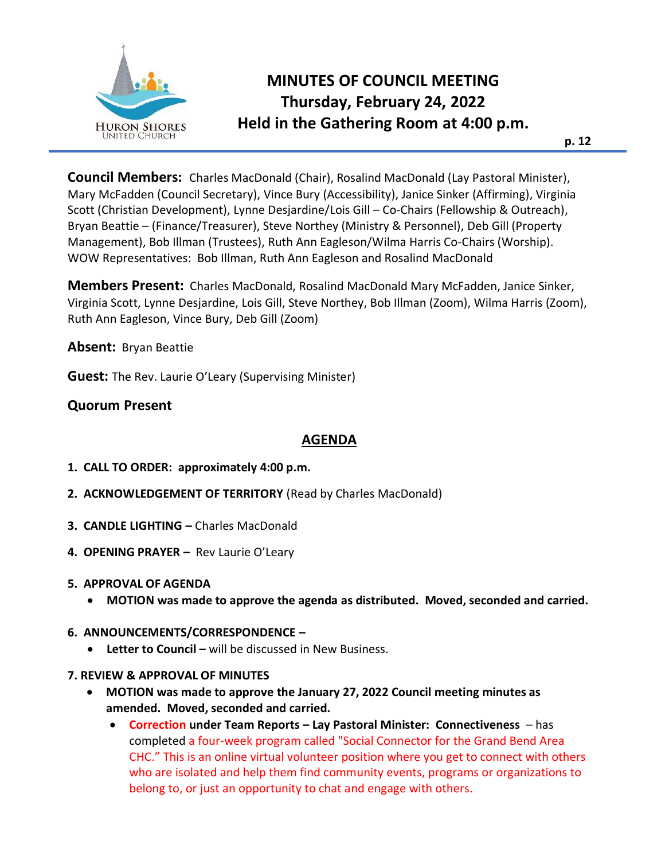

# **MINUTES OF COUNCIL MEETING Thursday, February 24, 2022 Held in the Gathering Room at 4:00 p.m.**

**Council Members:** Charles MacDonald (Chair), Rosalind MacDonald (Lay Pastoral Minister), Mary McFadden (Council Secretary), Vince Bury (Accessibility), Janice Sinker (Affirming), Virginia Scott (Christian Development), Lynne Desjardine/Lois Gill – Co-Chairs (Fellowship & Outreach), Bryan Beattie – (Finance/Treasurer), Steve Northey (Ministry & Personnel), Deb Gill (Property Management), Bob Illman (Trustees), Ruth Ann Eagleson/Wilma Harris Co-Chairs (Worship). WOW Representatives: Bob Illman, Ruth Ann Eagleson and Rosalind MacDonald

**Members Present:** Charles MacDonald, Rosalind MacDonald Mary McFadden, Janice Sinker, Virginia Scott, Lynne Desjardine, Lois Gill, Steve Northey, Bob Illman (Zoom), Wilma Harris (Zoom), Ruth Ann Eagleson, Vince Bury, Deb Gill (Zoom)

**Absent:** Bryan Beattie

**Guest:** The Rev. Laurie O'Leary (Supervising Minister)

# **Quorum Present**

## **AGENDA**

- **1. CALL TO ORDER: approximately 4:00 p.m.**
- **2. ACKNOWLEDGEMENT OF TERRITORY** (Read by Charles MacDonald)
- **3. CANDLE LIGHTING –** Charles MacDonald
- **4. OPENING PRAYER –** Rev Laurie O'Leary
- **5. APPROVAL OF AGENDA** 
	- **MOTION was made to approve the agenda as distributed. Moved, seconded and carried.**

#### **6. ANNOUNCEMENTS/CORRESPONDENCE –**

- **Letter to Council –** will be discussed in New Business.
- **7. REVIEW & APPROVAL OF MINUTES** 
	- **MOTION was made to approve the January 27, 2022 Council meeting minutes as amended. Moved, seconded and carried.**
		- **Correction under Team Reports – Lay Pastoral Minister: Connectiveness**  has completed a four-week program called "Social Connector for the Grand Bend Area CHC." This is an online virtual volunteer position where you get to connect with others who are isolated and help them find community events, programs or organizations to belong to, or just an opportunity to chat and engage with others.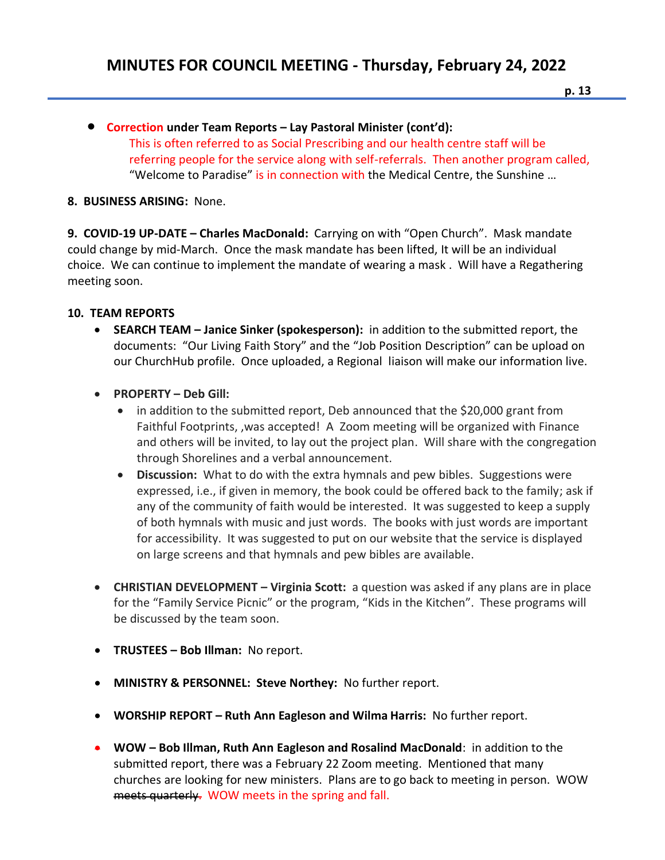• **Correction under Team Reports – Lay Pastoral Minister (cont'd):**  This is often referred to as Social Prescribing and our health centre staff will be referring people for the service along with self-referrals. Then another program called, "Welcome to Paradise" is in connection with the Medical Centre, the Sunshine …

### **8. BUSINESS ARISING:** None.

**9. COVID-19 UP-DATE – Charles MacDonald:** Carrying on with "Open Church". Mask mandate could change by mid-March. Once the mask mandate has been lifted, It will be an individual choice. We can continue to implement the mandate of wearing a mask . Will have a Regathering meeting soon.

## **10. TEAM REPORTS**

- **SEARCH TEAM – Janice Sinker (spokesperson):** in addition to the submitted report, the documents: "Our Living Faith Story" and the "Job Position Description" can be upload on our ChurchHub profile. Once uploaded, a Regional liaison will make our information live.
- **PROPERTY – Deb Gill:** 
	- in addition to the submitted report, Deb announced that the \$20,000 grant from Faithful Footprints, ,was accepted! A Zoom meeting will be organized with Finance and others will be invited, to lay out the project plan. Will share with the congregation through Shorelines and a verbal announcement.
	- **Discussion:** What to do with the extra hymnals and pew bibles. Suggestions were expressed, i.e., if given in memory, the book could be offered back to the family; ask if any of the community of faith would be interested. It was suggested to keep a supply of both hymnals with music and just words. The books with just words are important for accessibility. It was suggested to put on our website that the service is displayed on large screens and that hymnals and pew bibles are available.
- **CHRISTIAN DEVELOPMENT – Virginia Scott:** a question was asked if any plans are in place for the "Family Service Picnic" or the program, "Kids in the Kitchen". These programs will be discussed by the team soon.
- **TRUSTEES – Bob Illman:** No report.
- **MINISTRY & PERSONNEL: Steve Northey:** No further report.
- **WORSHIP REPORT – Ruth Ann Eagleson and Wilma Harris:** No further report.
- **WOW – Bob Illman, Ruth Ann Eagleson and Rosalind MacDonald**: in addition to the submitted report, there was a February 22 Zoom meeting. Mentioned that many churches are looking for new ministers. Plans are to go back to meeting in person. WOW meets quarterly. WOW meets in the spring and fall.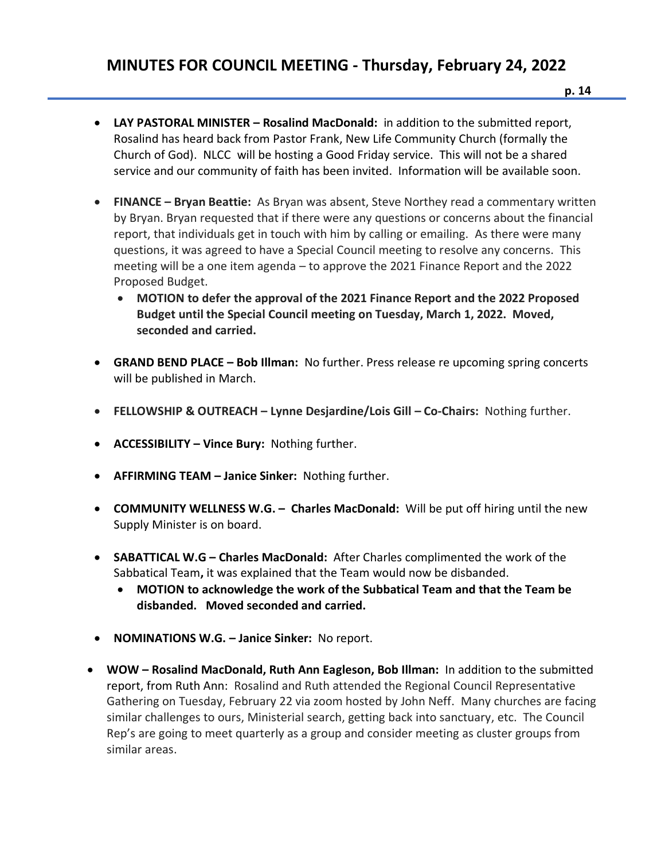- **p. 14**
- **LAY PASTORAL MINISTER – Rosalind MacDonald:** in addition to the submitted report, Rosalind has heard back from Pastor Frank, New Life Community Church (formally the Church of God). NLCC will be hosting a Good Friday service. This will not be a shared service and our community of faith has been invited. Information will be available soon.
- **FINANCE – Bryan Beattie:** As Bryan was absent, Steve Northey read a commentary written by Bryan. Bryan requested that if there were any questions or concerns about the financial report, that individuals get in touch with him by calling or emailing. As there were many questions, it was agreed to have a Special Council meeting to resolve any concerns. This meeting will be a one item agenda – to approve the 2021 Finance Report and the 2022 Proposed Budget.
	- **MOTION to defer the approval of the 2021 Finance Report and the 2022 Proposed Budget until the Special Council meeting on Tuesday, March 1, 2022. Moved, seconded and carried.**
- **GRAND BEND PLACE – Bob Illman:** No further. Press release re upcoming spring concerts will be published in March.
- **FELLOWSHIP & OUTREACH – Lynne Desjardine/Lois Gill – Co-Chairs:** Nothing further.
- **ACCESSIBILITY – Vince Bury:** Nothing further.
- **AFFIRMING TEAM – Janice Sinker:** Nothing further.
- **COMMUNITY WELLNESS W.G. Charles MacDonald:** Will be put off hiring until the new Supply Minister is on board.
- **SABATTICAL W.G – Charles MacDonald:** After Charles complimented the work of the Sabbatical Team**,** it was explained that the Team would now be disbanded.
	- **MOTION to acknowledge the work of the Subbatical Team and that the Team be disbanded. Moved seconded and carried.**
- **NOMINATIONS W.G. – Janice Sinker:** No report.
- **WOW – Rosalind MacDonald, Ruth Ann Eagleson, Bob Illman:** In addition to the submitted report, from Ruth Ann: Rosalind and Ruth attended the Regional Council Representative Gathering on Tuesday, February 22 via zoom hosted by John Neff. Many churches are facing similar challenges to ours, Ministerial search, getting back into sanctuary, etc. The Council Rep's are going to meet quarterly as a group and consider meeting as cluster groups from similar areas.